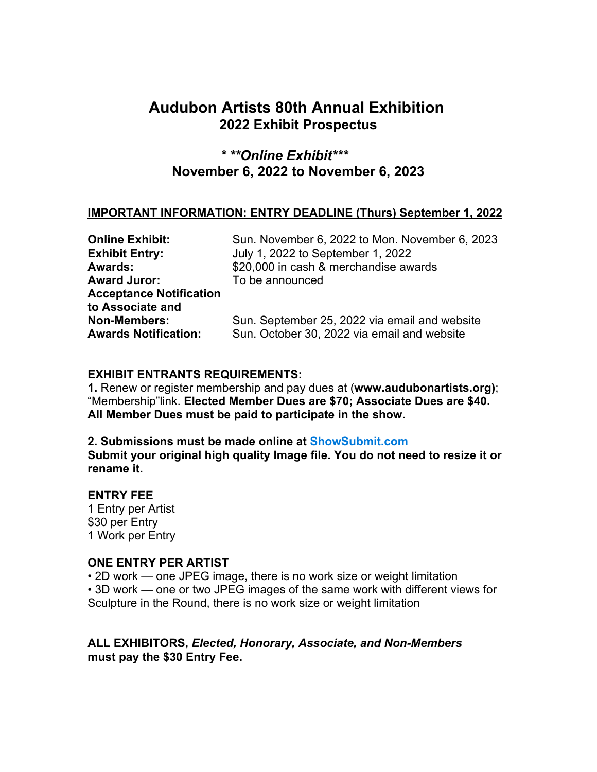# **Audubon Artists 80th Annual Exhibition 2022 Exhibit Prospectus**

# *\* \*\*Online Exhibit\*\*\** **November 6, 2022 to November 6, 2023**

### **IMPORTANT INFORMATION: ENTRY DEADLINE (Thurs) September 1, 2022**

| <b>Online Exhibit:</b>         | Sun. November 6, 2022 to Mon. November 6, 2023 |
|--------------------------------|------------------------------------------------|
| <b>Exhibit Entry:</b>          | July 1, 2022 to September 1, 2022              |
| <b>Awards:</b>                 | \$20,000 in cash & merchandise awards          |
| <b>Award Juror:</b>            | To be announced                                |
| <b>Acceptance Notification</b> |                                                |
| to Associate and               |                                                |
| <b>Non-Members:</b>            | Sun. September 25, 2022 via email and website  |
| <b>Awards Notification:</b>    | Sun. October 30, 2022 via email and website    |
|                                |                                                |

### **EXHIBIT ENTRANTS REQUIREMENTS:**

**1.** Renew or register membership and pay dues at (**www.audubonartists.org)**; "Membership"link. **Elected Member Dues are \$70; Associate Dues are \$40. All Member Dues must be paid to participate in the show.** 

**2. Submissions must be made online at ShowSubmit.com Submit your original high quality Image file. You do not need to resize it or rename it.**

### **ENTRY FEE**

1 Entry per Artist \$30 per Entry 1 Work per Entry

### **ONE ENTRY PER ARTIST**

• 2D work — one JPEG image, there is no work size or weight limitation • 3D work — one or two JPEG images of the same work with different views for

Sculpture in the Round, there is no work size or weight limitation

### **ALL EXHIBITORS,** *Elected, Honorary, Associate, and Non-Members* **must pay the \$30 Entry Fee.**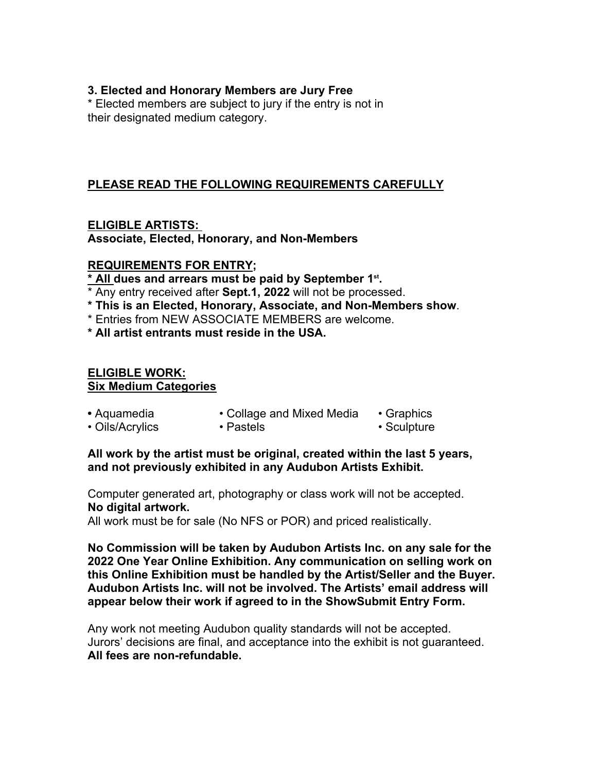### **3. Elected and Honorary Members are Jury Free**

\* Elected members are subject to jury if the entry is not in their designated medium category.

# **PLEASE READ THE FOLLOWING REQUIREMENTS CAREFULLY**

**ELIGIBLE ARTISTS: Associate, Elected, Honorary, and Non-Members**

### **REQUIREMENTS FOR ENTRY;**

**\* All dues and arrears must be paid by September 1st.**

\* Any entry received after **Sept.1, 2022** will not be processed.

- **\* This is an Elected, Honorary, Associate, and Non-Members show**. \* Entries from NEW ASSOCIATE MEMBERS are welcome.
- 

**\* All artist entrants must reside in the USA.**

#### **ELIGIBLE WORK: Six Medium Categories**

- Aquamedia Collage and Mixed Media Graphics
- Oils/Acrylics Pastels Pastels Sculpture

### **All work by the artist must be original, created within the last 5 years, and not previously exhibited in any Audubon Artists Exhibit.**

Computer generated art, photography or class work will not be accepted. **No digital artwork.**

All work must be for sale (No NFS or POR) and priced realistically.

**No Commission will be taken by Audubon Artists Inc. on any sale for the 2022 One Year Online Exhibition. Any communication on selling work on this Online Exhibition must be handled by the Artist/Seller and the Buyer. Audubon Artists Inc. will not be involved. The Artists' email address will appear below their work if agreed to in the ShowSubmit Entry Form.**

Any work not meeting Audubon quality standards will not be accepted. Jurors' decisions are final, and acceptance into the exhibit is not guaranteed. **All fees are non-refundable.**